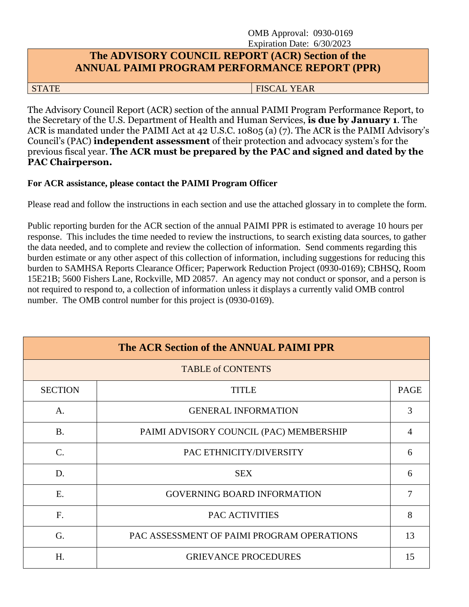#### OMB Approval: 0930-0169 Expiration Date: 6/30/2023

#### **The ADVISORY COUNCIL REPORT (ACR) Section of the ANNUAL PAIMI PROGRAM PERFORMANCE REPORT (PPR)**

STATE FISCAL YEAR STATE STATE SERVICES AND LODGED AT A STATE STATE OF STATE STATE STATE SERVICES AS A STATE OF STATE OF STATE STATE OF STATE STATE OF STATE STATE OF STATE STATE OF STATE OF STATE OF STATE STATE OF STATE OF

The Advisory Council Report (ACR) section of the annual PAIMI Program Performance Report, to the Secretary of the U.S. Department of Health and Human Services, **is due by January 1**. The ACR is mandated under the PAIMI Act at 42 U.S.C. 10805 (a) (7). The ACR is the PAIMI Advisory's Council's (PAC) **independent assessment** of their protection and advocacy system's for the previous fiscal year. **The ACR must be prepared by the PAC and signed and dated by the PAC Chairperson.**

#### **For ACR assistance, please contact the PAIMI Program Officer**

Please read and follow the instructions in each section and use the attached glossary in to complete the form.

Public reporting burden for the ACR section of the annual PAIMI PPR is estimated to average 10 hours per response. This includes the time needed to review the instructions, to search existing data sources, to gather the data needed, and to complete and review the collection of information. Send comments regarding this burden estimate or any other aspect of this collection of information, including suggestions for reducing this burden to SAMHSA Reports Clearance Officer; Paperwork Reduction Project (0930-0169); CBHSQ, Room 15E21B; 5600 Fishers Lane, Rockville, MD 20857. An agency may not conduct or sponsor, and a person is not required to respond to, a collection of information unless it displays a currently valid OMB control number. The OMB control number for this project is (0930-0169).

| The ACR Section of the ANNUAL PAIMI PPR |                                            |             |  |  |
|-----------------------------------------|--------------------------------------------|-------------|--|--|
|                                         | <b>TABLE of CONTENTS</b>                   |             |  |  |
| <b>SECTION</b>                          | <b>TITLE</b>                               | <b>PAGE</b> |  |  |
| A.                                      | <b>GENERAL INFORMATION</b>                 | 3           |  |  |
| <b>B.</b>                               | PAIMI ADVISORY COUNCIL (PAC) MEMBERSHIP    | 4           |  |  |
| $\mathbf{C}$ .                          | PAC ETHNICITY/DIVERSITY                    | 6           |  |  |
| D.                                      | <b>SEX</b>                                 | 6           |  |  |
| E.                                      | <b>GOVERNING BOARD INFORMATION</b>         | 7           |  |  |
| F <sub>1</sub>                          | PAC ACTIVITIES                             | 8           |  |  |
| G.                                      | PAC ASSESSMENT OF PAIMI PROGRAM OPERATIONS | 13          |  |  |
| H.                                      | <b>GRIEVANCE PROCEDURES</b>                | 15          |  |  |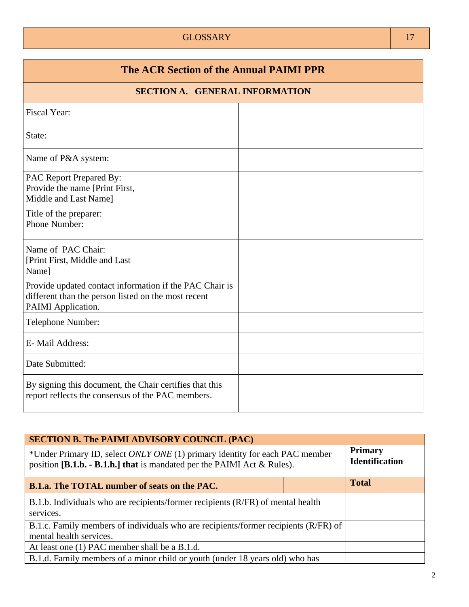#### GLOSSARY 17

| The ACR Section of the Annual PAIMI PPR                                                                                              |  |  |  |  |
|--------------------------------------------------------------------------------------------------------------------------------------|--|--|--|--|
| <b>SECTION A. GENERAL INFORMATION</b>                                                                                                |  |  |  |  |
| <b>Fiscal Year:</b>                                                                                                                  |  |  |  |  |
| State:                                                                                                                               |  |  |  |  |
| Name of P&A system:                                                                                                                  |  |  |  |  |
| PAC Report Prepared By:<br>Provide the name [Print First,<br>Middle and Last Name]<br>Title of the preparer:<br>Phone Number:        |  |  |  |  |
| Name of PAC Chair:<br>[Print First, Middle and Last]<br>Name]                                                                        |  |  |  |  |
| Provide updated contact information if the PAC Chair is<br>different than the person listed on the most recent<br>PAIMI Application. |  |  |  |  |
| Telephone Number:                                                                                                                    |  |  |  |  |
| E-Mail Address:                                                                                                                      |  |  |  |  |
| Date Submitted:                                                                                                                      |  |  |  |  |
| By signing this document, the Chair certifies that this<br>report reflects the consensus of the PAC members.                         |  |  |  |  |

| <b>SECTION B. The PAIMI ADVISORY COUNCIL (PAC)</b>                                                                                                       |              |                                         |
|----------------------------------------------------------------------------------------------------------------------------------------------------------|--------------|-----------------------------------------|
| *Under Primary ID, select ONLY ONE (1) primary identity for each PAC member<br>position $[B.1.b. - B.1.h.]$ that is mandated per the PAIMI Act & Rules). |              | <b>Primary</b><br><b>Identification</b> |
| <b>B.1.a.</b> The TOTAL number of seats on the PAC.                                                                                                      | <b>Total</b> |                                         |
| B.1.b. Individuals who are recipients/former recipients (R/FR) of mental health<br>services.                                                             |              |                                         |
| B.1.c. Family members of individuals who are recipients/former recipients (R/FR) of<br>mental health services.                                           |              |                                         |
| At least one (1) PAC member shall be a B.1.d.                                                                                                            |              |                                         |
| B.1.d. Family members of a minor child or youth (under 18 years old) who has                                                                             |              |                                         |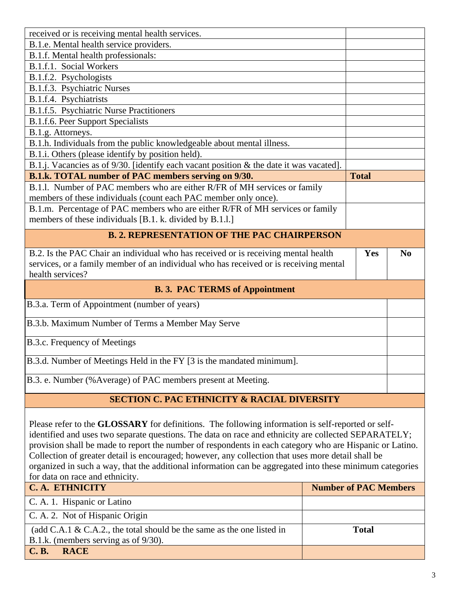| received or is receiving mental health services.                                                               |                              |                |  |
|----------------------------------------------------------------------------------------------------------------|------------------------------|----------------|--|
| B.1.e. Mental health service providers.                                                                        |                              |                |  |
| B.1.f. Mental health professionals:                                                                            |                              |                |  |
| B.1.f.1. Social Workers                                                                                        |                              |                |  |
| B.1.f.2. Psychologists                                                                                         |                              |                |  |
| B.1.f.3. Psychiatric Nurses                                                                                    |                              |                |  |
| B.1.f.4. Psychiatrists                                                                                         |                              |                |  |
| B.1.f.5. Psychiatric Nurse Practitioners                                                                       |                              |                |  |
| B.1.f.6. Peer Support Specialists                                                                              |                              |                |  |
| B.1.g. Attorneys.                                                                                              |                              |                |  |
| B.1.h. Individuals from the public knowledgeable about mental illness.                                         |                              |                |  |
| B.1.i. Others (please identify by position held).                                                              |                              |                |  |
| B.1.j. Vacancies as of 9/30. [identify each vacant position & the date it was vacated].                        |                              |                |  |
| B.1.k. TOTAL number of PAC members serving on 9/30.                                                            | <b>Total</b>                 |                |  |
| B.1.1. Number of PAC members who are either R/FR of MH services or family                                      |                              |                |  |
| members of these individuals (count each PAC member only once).                                                |                              |                |  |
| B.1.m. Percentage of PAC members who are either R/FR of MH services or family                                  |                              |                |  |
| members of these individuals [B.1. k. divided by B.1.1.]                                                       |                              |                |  |
|                                                                                                                |                              |                |  |
| <b>B. 2. REPRESENTATION OF THE PAC CHAIRPERSON</b>                                                             |                              |                |  |
| B.2. Is the PAC Chair an individual who has received or is receiving mental health                             | Yes                          | N <sub>0</sub> |  |
| services, or a family member of an individual who has received or is receiving mental                          |                              |                |  |
| health services?                                                                                               |                              |                |  |
|                                                                                                                |                              |                |  |
| <b>B. 3. PAC TERMS of Appointment</b>                                                                          |                              |                |  |
| B.3.a. Term of Appointment (number of years)                                                                   |                              |                |  |
|                                                                                                                |                              |                |  |
| B.3.b. Maximum Number of Terms a Member May Serve                                                              |                              |                |  |
| B.3.c. Frequency of Meetings                                                                                   |                              |                |  |
|                                                                                                                |                              |                |  |
| B.3.d. Number of Meetings Held in the FY [3 is the mandated minimum].                                          |                              |                |  |
|                                                                                                                |                              |                |  |
| B.3. e. Number (%Average) of PAC members present at Meeting.                                                   |                              |                |  |
| <b>SECTION C. PAC ETHNICITY &amp; RACIAL DIVERSITY</b>                                                         |                              |                |  |
|                                                                                                                |                              |                |  |
|                                                                                                                |                              |                |  |
| Please refer to the <b>GLOSSARY</b> for definitions. The following information is self-reported or self-       |                              |                |  |
| identified and uses two separate questions. The data on race and ethnicity are collected SEPARATELY;           |                              |                |  |
| provision shall be made to report the number of respondents in each category who are Hispanic or Latino.       |                              |                |  |
| Collection of greater detail is encouraged; however, any collection that uses more detail shall be             |                              |                |  |
| organized in such a way, that the additional information can be aggregated into these minimum categories       |                              |                |  |
| for data on race and ethnicity.                                                                                |                              |                |  |
| <b>C.A. ETHNICITY</b>                                                                                          | <b>Number of PAC Members</b> |                |  |
| C. A. 1. Hispanic or Latino                                                                                    |                              |                |  |
| C. A. 2. Not of Hispanic Origin                                                                                |                              |                |  |
|                                                                                                                | <b>Total</b>                 |                |  |
| (add C.A.1 & C.A.2., the total should be the same as the one listed in<br>B.1.k. (members serving as of 9/30). |                              |                |  |
|                                                                                                                |                              |                |  |
| <b>RACE</b><br><b>C.B.</b>                                                                                     |                              |                |  |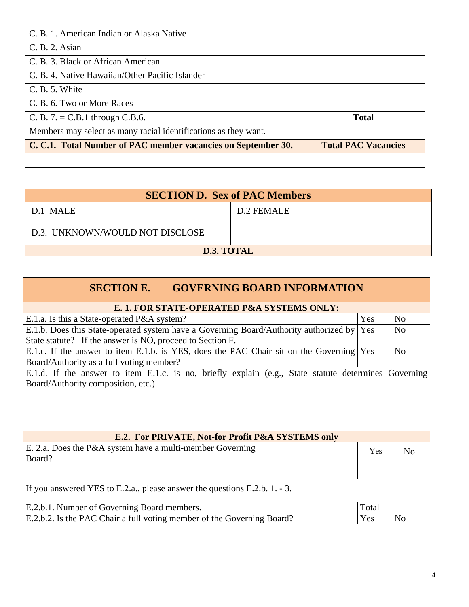| C. B. 1. American Indian or Alaska Native                       |                            |
|-----------------------------------------------------------------|----------------------------|
| C. B. 2. Asian                                                  |                            |
| C. B. 3. Black or African American                              |                            |
| C. B. 4. Native Hawaiian/Other Pacific Islander                 |                            |
| C. B. 5. White                                                  |                            |
| C. B. 6. Two or More Races                                      |                            |
| C. B. $7. = C.B.1$ through C.B.6.                               | <b>Total</b>               |
| Members may select as many racial identifications as they want. |                            |
| C. C.1. Total Number of PAC member vacancies on September 30.   | <b>Total PAC Vacancies</b> |
|                                                                 |                            |

| <b>SECTION D. Sex of PAC Members</b> |            |  |  |
|--------------------------------------|------------|--|--|
| D.1 MALE                             | D.2 FEMALE |  |  |
| D.3. UNKNOWN/WOULD NOT DISCLOSE      |            |  |  |
| D.3. TOTAL                           |            |  |  |

Г

| <b>SECTION E.</b><br><b>GOVERNING BOARD INFORMATION</b>                                              |       |                |  |  |
|------------------------------------------------------------------------------------------------------|-------|----------------|--|--|
| E. 1. FOR STATE-OPERATED P&A SYSTEMS ONLY:                                                           |       |                |  |  |
| E.1.a. Is this a State-operated P&A system?                                                          | Yes   | N <sub>o</sub> |  |  |
| E.1.b. Does this State-operated system have a Governing Board/Authority authorized by Yes            |       | N <sub>o</sub> |  |  |
| State statute? If the answer is NO, proceed to Section F.                                            |       |                |  |  |
| E.1.c. If the answer to item E.1.b. is YES, does the PAC Chair sit on the Governing Yes              |       | N <sub>o</sub> |  |  |
| Board/Authority as a full voting member?                                                             |       |                |  |  |
| E.1.d. If the answer to item E.1.c. is no, briefly explain (e.g., State statute determines Governing |       |                |  |  |
| Board/Authority composition, etc.).                                                                  |       |                |  |  |
|                                                                                                      |       |                |  |  |
| E.2. For PRIVATE, Not-for Profit P&A SYSTEMS only                                                    |       |                |  |  |
| E. 2.a. Does the P&A system have a multi-member Governing<br>Board?                                  | Yes   | N <sub>o</sub> |  |  |
| If you answered YES to E.2.a., please answer the questions E.2.b. $1. - 3.$                          |       |                |  |  |
| E.2.b.1. Number of Governing Board members.                                                          | Total |                |  |  |
| E.2.b.2. Is the PAC Chair a full voting member of the Governing Board?                               | Yes   | No             |  |  |

T.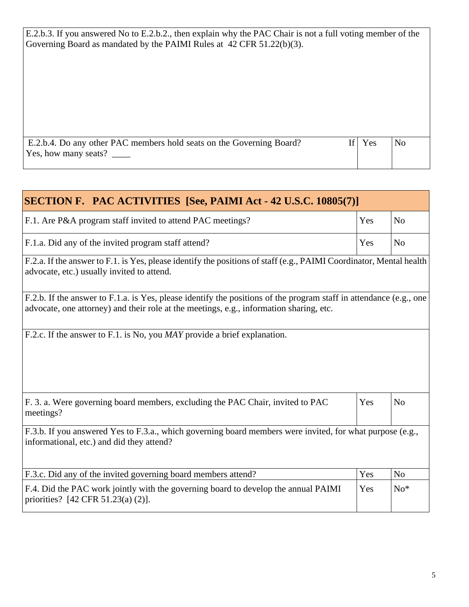E.2.b.3. If you answered No to E.2.b.2., then explain why the PAC Chair is not a full voting member of the Governing Board as mandated by the PAIMI Rules at 42 CFR 51.22(b)(3).

| E.2.b.4. Do any other PAC members hold seats on the Governing Board? | If Yes | N <sub>o</sub> |  |
|----------------------------------------------------------------------|--------|----------------|--|
| Yes, how many seats?                                                 |        |                |  |
|                                                                      |        |                |  |

| <b>SECTION F. PAC ACTIVITIES [See, PAIMI Act - 42 U.S.C. 10805(7)]</b>                                                                                                                                        |     |                |
|---------------------------------------------------------------------------------------------------------------------------------------------------------------------------------------------------------------|-----|----------------|
| F.1. Are P&A program staff invited to attend PAC meetings?                                                                                                                                                    | Yes | N <sub>o</sub> |
| F.1.a. Did any of the invited program staff attend?                                                                                                                                                           | Yes | No             |
| F.2.a. If the answer to F.1. is Yes, please identify the positions of staff (e.g., PAIMI Coordinator, Mental health<br>advocate, etc.) usually invited to attend.                                             |     |                |
| F.2.b. If the answer to F.1.a. is Yes, please identify the positions of the program staff in attendance (e.g., one<br>advocate, one attorney) and their role at the meetings, e.g., information sharing, etc. |     |                |
| F.2.c. If the answer to F.1. is No, you <i>MAY</i> provide a brief explanation.                                                                                                                               |     |                |
| F. 3. a. Were governing board members, excluding the PAC Chair, invited to PAC<br>meetings?                                                                                                                   | Yes | N <sub>o</sub> |
| F.3.b. If you answered Yes to F.3.a., which governing board members were invited, for what purpose (e.g.,<br>informational, etc.) and did they attend?                                                        |     |                |
| F.3.c. Did any of the invited governing board members attend?                                                                                                                                                 | Yes | N <sub>0</sub> |
| F.4. Did the PAC work jointly with the governing board to develop the annual PAIMI<br>priorities? [42 CFR 51.23(a) $(2)$ ].                                                                                   | Yes | $No*$          |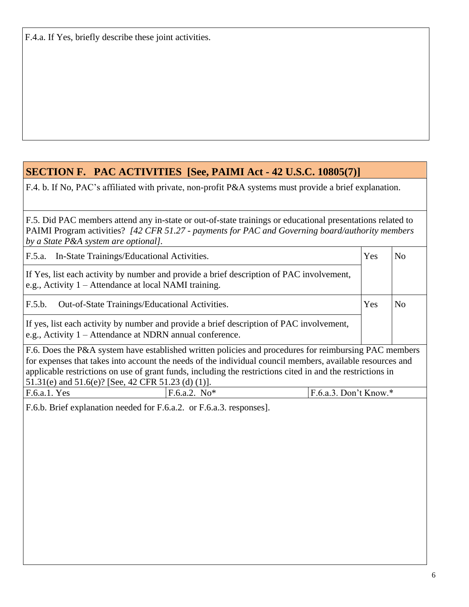F.4.a. If Yes, briefly describe these joint activities.

## **SECTION F. PAC ACTIVITIES [See, PAIMI Act - 42 U.S.C. 10805(7)]**

F.4. b. If No, PAC's affiliated with private, non-profit P&A systems must provide a brief explanation.

F.5. Did PAC members attend any in-state or out-of-state trainings or educational presentations related to PAIMI Program activities? *[42 CFR 51.27 - payments for PAC and Governing board/authority members by a State P&A system are optional].*

| F.5.a. In-State Trainings/Educational Activities.                                                                                                                                                                                                                                                                                                                                      |                                                                                                                                                      |                         | Yes | N <sub>o</sub> |  |
|----------------------------------------------------------------------------------------------------------------------------------------------------------------------------------------------------------------------------------------------------------------------------------------------------------------------------------------------------------------------------------------|------------------------------------------------------------------------------------------------------------------------------------------------------|-------------------------|-----|----------------|--|
| If Yes, list each activity by number and provide a brief description of PAC involvement,<br>e.g., Activity 1 – Attendance at local NAMI training.                                                                                                                                                                                                                                      |                                                                                                                                                      |                         |     |                |  |
| F.5.b.<br>Out-of-State Trainings/Educational Activities.                                                                                                                                                                                                                                                                                                                               |                                                                                                                                                      |                         | Yes | N <sub>0</sub> |  |
|                                                                                                                                                                                                                                                                                                                                                                                        | If yes, list each activity by number and provide a brief description of PAC involvement,<br>e.g., Activity 1 – Attendance at NDRN annual conference. |                         |     |                |  |
| F.6. Does the P&A system have established written policies and procedures for reimbursing PAC members<br>for expenses that takes into account the needs of the individual council members, available resources and<br>applicable restrictions on use of grant funds, including the restrictions cited in and the restrictions in<br>51.31(e) and 51.6(e)? [See, 42 CFR 51.23 (d) (1)]. |                                                                                                                                                      |                         |     |                |  |
| F.6.a.1. Yes                                                                                                                                                                                                                                                                                                                                                                           | $F.6.a.2. No*$                                                                                                                                       | $F.6.a.3.$ Don't Know.* |     |                |  |
| F.6.b. Brief explanation needed for F.6.a.2. or F.6.a.3. responses].                                                                                                                                                                                                                                                                                                                   |                                                                                                                                                      |                         |     |                |  |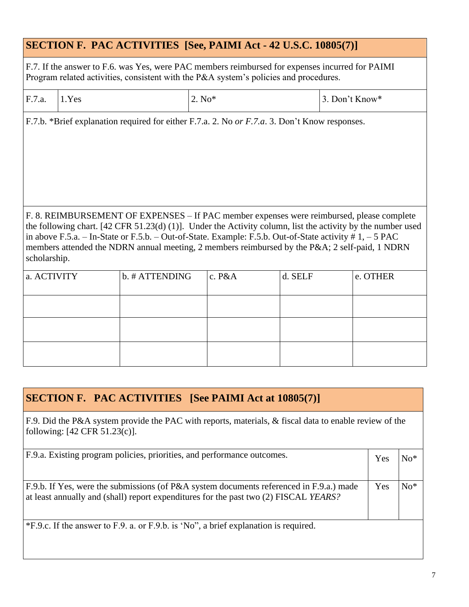|              | <b>SECTION F. PAC ACTIVITIES [See, PAIMI Act - 42 U.S.C. 10805(7)]</b>                                                                                                                   |                                                                                                                                                                                                                                                                                                                                                                                                                       |          |  |         |                |  |  |
|--------------|------------------------------------------------------------------------------------------------------------------------------------------------------------------------------------------|-----------------------------------------------------------------------------------------------------------------------------------------------------------------------------------------------------------------------------------------------------------------------------------------------------------------------------------------------------------------------------------------------------------------------|----------|--|---------|----------------|--|--|
|              | F.7. If the answer to F.6. was Yes, were PAC members reimbursed for expenses incurred for PAIMI<br>Program related activities, consistent with the P&A system's policies and procedures. |                                                                                                                                                                                                                                                                                                                                                                                                                       |          |  |         |                |  |  |
| F.7.a.       | 1.Yes                                                                                                                                                                                    |                                                                                                                                                                                                                                                                                                                                                                                                                       | $2. No*$ |  |         | 3. Don't Know* |  |  |
|              |                                                                                                                                                                                          | F.7.b. *Brief explanation required for either F.7.a. 2. No or F.7.a. 3. Don't Know responses.                                                                                                                                                                                                                                                                                                                         |          |  |         |                |  |  |
| scholarship. |                                                                                                                                                                                          | F. 8. REIMBURSEMENT OF EXPENSES – If PAC member expenses were reimbursed, please complete<br>the following chart. [42 CFR 51.23(d) (1)]. Under the Activity column, list the activity by the number used<br>in above F.5.a. - In-State or F.5.b. - Out-of-State. Example: F.5.b. Out-of-State activity $# 1, -5$ PAC<br>members attended the NDRN annual meeting, 2 members reimbursed by the P&A 2 self-paid, 1 NDRN |          |  |         |                |  |  |
| a. ACTIVITY  |                                                                                                                                                                                          | b. # ATTENDING                                                                                                                                                                                                                                                                                                                                                                                                        | c. P&A   |  | d. SELF | e. OTHER       |  |  |
|              |                                                                                                                                                                                          |                                                                                                                                                                                                                                                                                                                                                                                                                       |          |  |         |                |  |  |
|              |                                                                                                                                                                                          |                                                                                                                                                                                                                                                                                                                                                                                                                       |          |  |         |                |  |  |
|              |                                                                                                                                                                                          |                                                                                                                                                                                                                                                                                                                                                                                                                       |          |  |         |                |  |  |

## **SECTION F. PAC ACTIVITIES [See PAIMI Act at 10805(7)]**

F.9. Did the P&A system provide the PAC with reports, materials, & fiscal data to enable review of the following: [42 CFR 51.23(c)].

| F.9.a. Existing program policies, priorities, and performance outcomes.                                                                                                         | Yes | $No*$          |
|---------------------------------------------------------------------------------------------------------------------------------------------------------------------------------|-----|----------------|
| F.9.b. If Yes, were the submissions (of P&A system documents referenced in F.9.a.) made<br>at least annually and (shall) report expenditures for the past two (2) FISCAL YEARS? | Yes | $\mathrm{No*}$ |

\*F.9.c. If the answer to F.9. a. or F.9.b. is 'No", a brief explanation is required.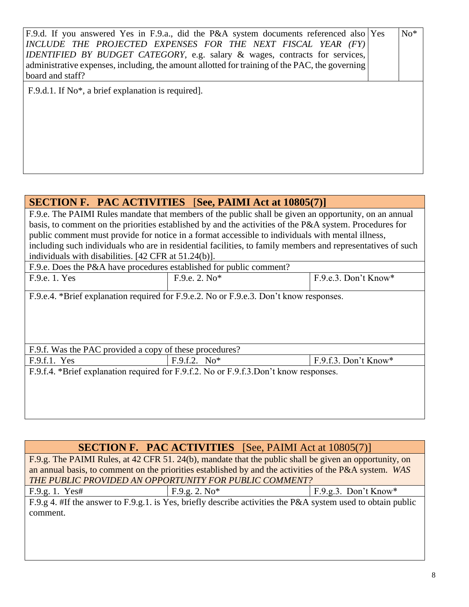| F.9.d. If you answered Yes in F.9.a., did the P&A system documents referenced also Yes<br>INCLUDE THE PROJECTED EXPENSES FOR THE NEXT FISCAL YEAR (FY)<br>IDENTIFIED BY BUDGET CATEGORY, e.g. salary & wages, contracts for services,<br>administrative expenses, including, the amount allotted for training of the PAC, the governing<br>board and staff? | $No*$ |
|-------------------------------------------------------------------------------------------------------------------------------------------------------------------------------------------------------------------------------------------------------------------------------------------------------------------------------------------------------------|-------|
| F.9.d.1. If No <sup>*</sup> , a brief explanation is required.                                                                                                                                                                                                                                                                                              |       |
|                                                                                                                                                                                                                                                                                                                                                             |       |

#### **SECTION F. PAC ACTIVITIES** [**See, PAIMI Act at 10805(7)]**

F.9.e. The PAIMI Rules mandate that members of the public shall be given an opportunity, on an annual basis, to comment on the priorities established by and the activities of the P&A system. Procedures for public comment must provide for notice in a format accessible to individuals with mental illness, including such individuals who are in residential facilities, to family members and representatives of such individuals with disabilities. [42 CFR at 51.24(b)].

| F.9.e. Does the P&A have procedures established for public comment? |                 |                        |
|---------------------------------------------------------------------|-----------------|------------------------|
| F.9.e. 1. Yes                                                       | $F.9.e. 2. No*$ | $F.9.e.3. Don't Know*$ |
|                                                                     |                 |                        |

F.9.e.4. \*Brief explanation required for F.9.e.2. No or F.9.e.3. Don't know responses.

# **SECTION F. PAC ACTIVITIES** [See, PAIMI Act at 10805(7)]

F.9.g. The PAIMI Rules, at 42 CFR 51. 24(b), mandate that the public shall be given an opportunity, on an annual basis, to comment on the priorities established by and the activities of the P&A system*. WAS THE PUBLIC PROVIDED AN OPPORTUNITY FOR PUBLIC COMMENT?*

| ٠ | - |
|---|---|

F.9.g. 2.  $\text{No*}$  F.9.g. 3. Don't Know\*

F.9.g 4. #If the answer to F.9.g.1. is Yes, briefly describe activities the P&A system used to obtain public comment.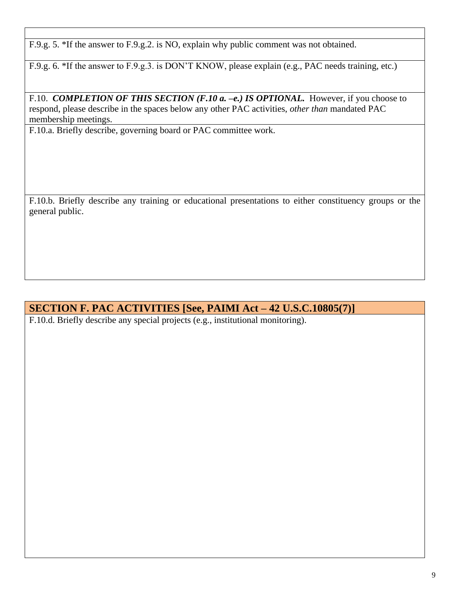F.9.g. 5. \*If the answer to F.9.g.2. is NO, explain why public comment was not obtained.

F.9.g. 6. \*If the answer to F.9.g.3. is DON'T KNOW, please explain (e.g., PAC needs training, etc.)

F.10. *COMPLETION OF THIS SECTION (F.10 a. -e.) IS OPTIONAL*. However, if you choose to respond, please describe in the spaces below any other PAC activities, *other than* mandated PAC membership meetings.

F.10.a. Briefly describe, governing board or PAC committee work.

F.10.b. Briefly describe any training or educational presentations to either constituency groups or the general public.

#### **SECTION F. PAC ACTIVITIES [See, PAIMI Act – 42 U.S.C.10805(7)]**

F.10.d. Briefly describe any special projects (e.g., institutional monitoring).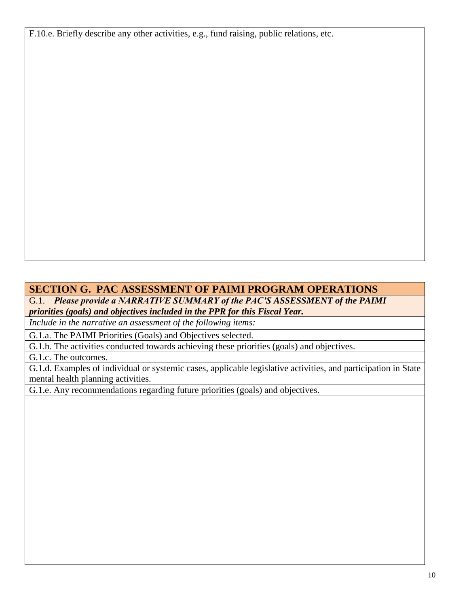F.10.e. Briefly describe any other activities, e.g., fund raising, public relations, etc.

#### **SECTION G. PAC ASSESSMENT OF PAIMI PROGRAM OPERATIONS**

G.1. *Please provide a NARRATIVE SUMMARY of the PAC'S ASSESSMENT of the PAIMI priorities (goals) and objectives included in the PPR for this Fiscal Year.*

*Include in the narrative an assessment of the following items:*

G.1.a. The PAIMI Priorities (Goals) and Objectives selected.

G.1.b. The activities conducted towards achieving these priorities (goals) and objectives.

G.1.c. The outcomes.

G.1.d. Examples of individual or systemic cases, applicable legislative activities, and participation in State mental health planning activities.

G.1.e. Any recommendations regarding future priorities (goals) and objectives.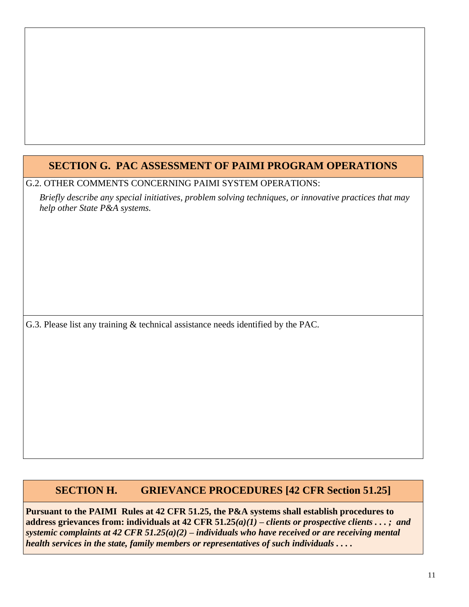## **SECTION G. PAC ASSESSMENT OF PAIMI PROGRAM OPERATIONS**

#### G.2. OTHER COMMENTS CONCERNING PAIMI SYSTEM OPERATIONS:

*Briefly describe any special initiatives, problem solving techniques, or innovative practices that may help other State P&A systems.*

G.3. Please list any training & technical assistance needs identified by the PAC.

### **SECTION H. GRIEVANCE PROCEDURES [42 CFR Section 51.25]**

**Pursuant to the PAIMI Rules at 42 CFR 51.25, the P&A systems shall establish procedures to address grievances from: individuals at 42 CFR 51.25***(a)(1) – clients or prospective clients . . . ; and systemic complaints at 42 CFR 51.25(a)(2) – individuals who have received or are receiving mental health services in the state, family members or representatives of such individuals . . . .*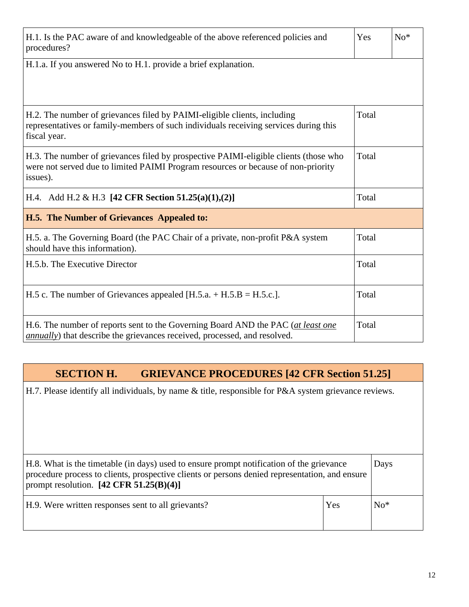| H.1. Is the PAC aware of and knowledgeable of the above referenced policies and<br>procedures?                                                                                        | Yes   | $No*$ |
|---------------------------------------------------------------------------------------------------------------------------------------------------------------------------------------|-------|-------|
| H.1.a. If you answered No to H.1. provide a brief explanation.                                                                                                                        |       |       |
|                                                                                                                                                                                       |       |       |
| H.2. The number of grievances filed by PAIMI-eligible clients, including<br>representatives or family-members of such individuals receiving services during this<br>fiscal year.      | Total |       |
| H.3. The number of grievances filed by prospective PAIMI-eligible clients (those who<br>were not served due to limited PAIMI Program resources or because of non-priority<br>issues). | Total |       |
| H.4. Add H.2 & H.3 [42 CFR Section 51.25(a)(1),(2)]                                                                                                                                   | Total |       |
| H.5. The Number of Grievances Appealed to:                                                                                                                                            |       |       |
| H.5. a. The Governing Board (the PAC Chair of a private, non-profit P&A system<br>should have this information).                                                                      | Total |       |
| H.5.b. The Executive Director                                                                                                                                                         | Total |       |
| H.5 c. The number of Grievances appealed [H.5.a. $+$ H.5.B = H.5.c.].                                                                                                                 | Total |       |
| H.6. The number of reports sent to the Governing Board AND the PAC (at least one<br><i>annually</i> ) that describe the grievances received, processed, and resolved.                 | Total |       |

## **SECTION H. GRIEVANCE PROCEDURES [42 CFR Section 51.25]**

H.7. Please identify all individuals, by name & title, responsible for P&A system grievance reviews.

| H.8. What is the timetable (in days) used to ensure prompt notification of the grievance<br>procedure process to clients, prospective clients or persons denied representation, and ensure<br>prompt resolution. $[42 \text{ CFR } 51.25(\text{B})(4)]$ |     | Days  |
|---------------------------------------------------------------------------------------------------------------------------------------------------------------------------------------------------------------------------------------------------------|-----|-------|
| H.9. Were written responses sent to all grievants?                                                                                                                                                                                                      | Yes | $No*$ |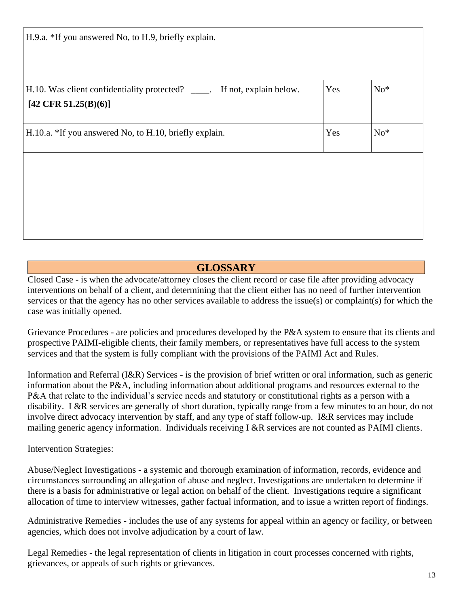| H.9.a. *If you answered No, to H.9, briefly explain.                                                                |     |       |
|---------------------------------------------------------------------------------------------------------------------|-----|-------|
|                                                                                                                     |     |       |
| H.10. Was client confidentiality protected? _____. If not, explain below.<br>$[42 \text{ CFR } 51.25(\text{B})(6)]$ | Yes | $No*$ |
| H.10.a. *If you answered No, to H.10, briefly explain.                                                              | Yes | $No*$ |
|                                                                                                                     |     |       |
|                                                                                                                     |     |       |
|                                                                                                                     |     |       |

### **GLOSSARY**

Closed Case - is when the advocate/attorney closes the client record or case file after providing advocacy interventions on behalf of a client, and determining that the client either has no need of further intervention services or that the agency has no other services available to address the issue(s) or complaint(s) for which the case was initially opened.

Grievance Procedures - are policies and procedures developed by the P&A system to ensure that its clients and prospective PAIMI-eligible clients, their family members, or representatives have full access to the system services and that the system is fully compliant with the provisions of the PAIMI Act and Rules.

Information and Referral (I&R) Services - is the provision of brief written or oral information, such as generic information about the P&A, including information about additional programs and resources external to the P&A that relate to the individual's service needs and statutory or constitutional rights as a person with a disability. I &R services are generally of short duration, typically range from a few minutes to an hour, do not involve direct advocacy intervention by staff, and any type of staff follow-up. I&R services may include mailing generic agency information. Individuals receiving I &R services are not counted as PAIMI clients.

Intervention Strategies:

Abuse/Neglect Investigations **-** a systemic and thorough examination of information, records, evidence and circumstances surrounding an allegation of abuse and neglect. Investigations are undertaken to determine if there is a basis for administrative or legal action on behalf of the client. Investigations require a significant allocation of time to interview witnesses, gather factual information, and to issue a written report of findings.

Administrative Remedies - includes the use of any systems for appeal within an agency or facility, or between agencies, which does not involve adjudication by a court of law.

Legal Remedies - the legal representation of clients in litigation in court processes concerned with rights, grievances, or appeals of such rights or grievances.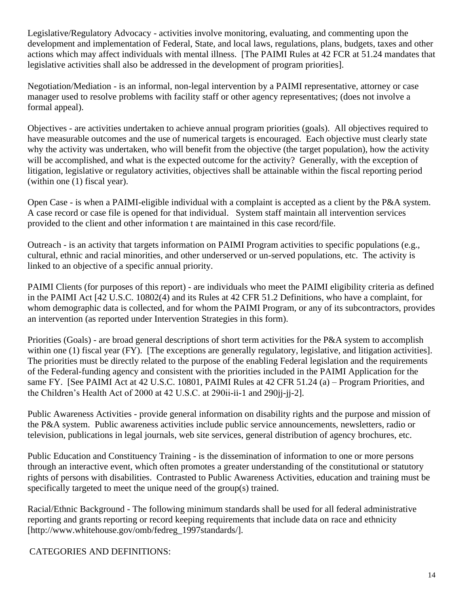Legislative/Regulatory Advocacy - activities involve monitoring, evaluating, and commenting upon the development and implementation of Federal, State, and local laws, regulations, plans, budgets, taxes and other actions which may affect individuals with mental illness. [The PAIMI Rules at 42 FCR at 51.24 mandates that legislative activities shall also be addressed in the development of program priorities].

Negotiation/Mediation - is an informal, non-legal intervention by a PAIMI representative, attorney or case manager used to resolve problems with facility staff or other agency representatives; (does not involve a formal appeal).

Objectives - are activities undertaken to achieve annual program priorities (goals). All objectives required to have measurable outcomes and the use of numerical targets is encouraged. Each objective must clearly state why the activity was undertaken, who will benefit from the objective (the target population), how the activity will be accomplished, and what is the expected outcome for the activity? Generally, with the exception of litigation, legislative or regulatory activities, objectives shall be attainable within the fiscal reporting period (within one (1) fiscal year).

Open Case - is when a PAIMI-eligible individual with a complaint is accepted as a client by the P&A system. A case record or case file is opened for that individual. System staff maintain all intervention services provided to the client and other information t are maintained in this case record/file.

Outreach - is an activity that targets information on PAIMI Program activities to specific populations (e.g., cultural, ethnic and racial minorities, and other underserved or un-served populations, etc. The activity is linked to an objective of a specific annual priority.

PAIMI Clients (for purposes of this report) - are individuals who meet the PAIMI eligibility criteria as defined in the PAIMI Act [42 U.S.C. 10802(4) and its Rules at 42 CFR 51.2 Definitions, who have a complaint, for whom demographic data is collected, and for whom the PAIMI Program, or any of its subcontractors, provides an intervention (as reported under Intervention Strategies in this form).

Priorities (Goals) - are broad general descriptions of short term activities for the P&A system to accomplish within one (1) fiscal year (FY). [The exceptions are generally regulatory, legislative, and litigation activities]. The priorities must be directly related to the purpose of the enabling Federal legislation and the requirements of the Federal-funding agency and consistent with the priorities included in the PAIMI Application for the same FY. [See PAIMI Act at 42 U.S.C. 10801, PAIMI Rules at 42 CFR 51.24 (a) – Program Priorities, and the Children's Health Act of 2000 at 42 U.S.C. at 290ii-ii-1 and 290jj-jj-2].

Public Awareness Activities - provide general information on disability rights and the purpose and mission of the P&A system. Public awareness activities include public service announcements, newsletters, radio or television, publications in legal journals, web site services, general distribution of agency brochures, etc.

Public Education and Constituency Training - is the dissemination of information to one or more persons through an interactive event, which often promotes a greater understanding of the constitutional or statutory rights of persons with disabilities. Contrasted to Public Awareness Activities, education and training must be specifically targeted to meet the unique need of the group(s) trained.

Racial/Ethnic Background - The following minimum standards shall be used for all federal administrative reporting and grants reporting or record keeping requirements that include data on race and ethnicity [http://www.whitehouse.gov/omb/fedreg\_1997standards/].

CATEGORIES AND DEFINITIONS: